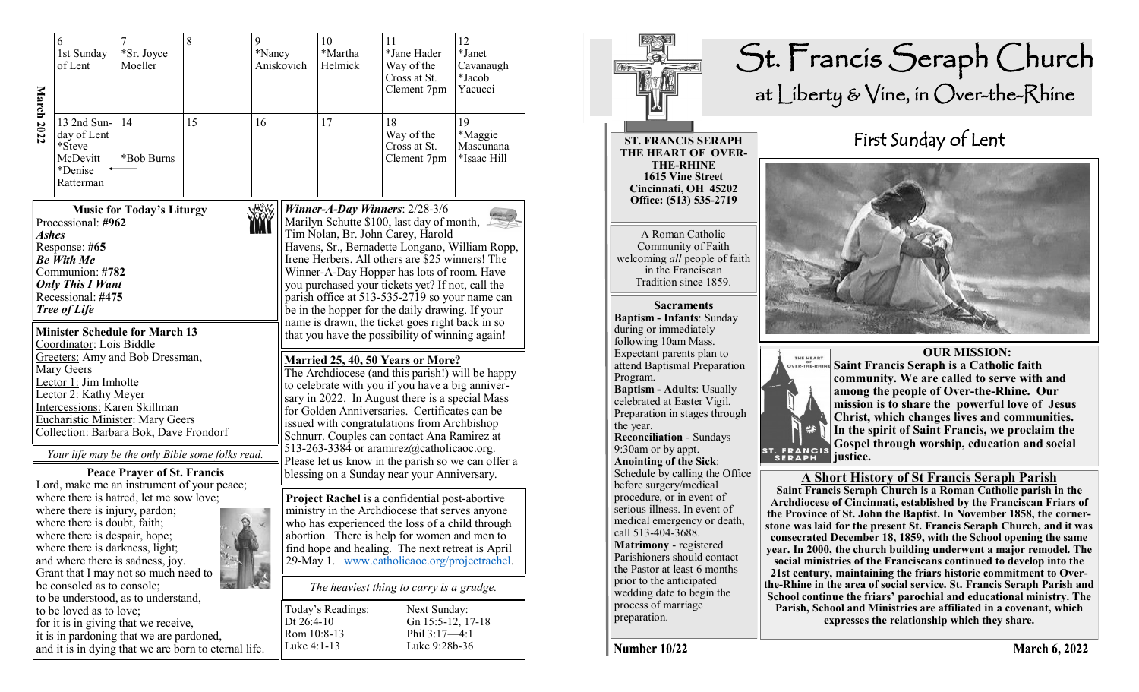| March 2022                                                                                                                                                                                                                                                                                              | 6<br>1st Sunday<br>of Lent                                                                                                                                                                                                                                                                 | 7<br>*Sr. Joyce<br>Moeller         | 8                                                    | 9<br>*Nancy                                                                                                                                                                                                                                                                                                                                                                                                                                                                                                                                                                                                | Aniskovich        | 10<br>*Martha<br>Helmick                                                                                                                                                                                                                                                                                                                                                                                                               | 11<br>*Jane Hader<br>Way of the<br>Cross at St.<br>Clement 7pm | 12<br>*Janet<br>Cavanaugh<br>*Jacob<br>Yacucci |  |
|---------------------------------------------------------------------------------------------------------------------------------------------------------------------------------------------------------------------------------------------------------------------------------------------------------|--------------------------------------------------------------------------------------------------------------------------------------------------------------------------------------------------------------------------------------------------------------------------------------------|------------------------------------|------------------------------------------------------|------------------------------------------------------------------------------------------------------------------------------------------------------------------------------------------------------------------------------------------------------------------------------------------------------------------------------------------------------------------------------------------------------------------------------------------------------------------------------------------------------------------------------------------------------------------------------------------------------------|-------------------|----------------------------------------------------------------------------------------------------------------------------------------------------------------------------------------------------------------------------------------------------------------------------------------------------------------------------------------------------------------------------------------------------------------------------------------|----------------------------------------------------------------|------------------------------------------------|--|
|                                                                                                                                                                                                                                                                                                         | 13 2nd Sun-<br>day of Lent<br>*Steve<br>McDevitt<br>*Denise<br>Ratterman                                                                                                                                                                                                                   | 14<br>*Bob Burns                   | 15                                                   | 16                                                                                                                                                                                                                                                                                                                                                                                                                                                                                                                                                                                                         |                   | 17                                                                                                                                                                                                                                                                                                                                                                                                                                     | 18<br>Way of the<br>Cross at St.<br>Clement 7pm                | 19<br>*Maggie<br>Mascunana<br>*Isaac Hill      |  |
|                                                                                                                                                                                                                                                                                                         | <b>Music for Today's Liturgy</b><br>Processional: #962<br>Ashes<br>Response: #65<br><b>Be With Me</b><br>Communion: #782<br><b>Only This I Want</b><br>Recessional: #475<br><b>Tree of Life</b>                                                                                            |                                    |                                                      |                                                                                                                                                                                                                                                                                                                                                                                                                                                                                                                                                                                                            |                   | Winner-A-Day Winners: $2/28-3/6$<br>Marilyn Schutte \$100, last day of month, $\perp$<br>Tim Nolan, Br. John Carey, Harold<br>Havens, Sr., Bernadette Longano, William Ropp,<br>Irene Herbers. All others are \$25 winners! The<br>Winner-A-Day Hopper has lots of room. Have<br>you purchased your tickets yet? If not, call the<br>parish office at 513-535-2719 so your name can<br>be in the hopper for the daily drawing. If your |                                                                |                                                |  |
|                                                                                                                                                                                                                                                                                                         | <b>Minister Schedule for March 13</b><br>Coordinator: Lois Biddle<br>Greeters: Amy and Bob Dressman,<br>Mary Geers<br>Lector 1: Jim Imholte<br>Lector 2: Kathy Meyer<br>Intercessions: Karen Skillman<br><b>Eucharistic Minister: Mary Geers</b><br>Collection: Barbara Bok, Dave Frondorf | <b>Peace Prayer of St. Francis</b> | Your life may be the only Bible some folks read.     | name is drawn, the ticket goes right back in so<br>that you have the possibility of winning again!<br><b>Married 25, 40, 50 Years or More?</b><br>The Archdiocese (and this parish!) will be happy<br>to celebrate with you if you have a big anniver-<br>sary in 2022. In August there is a special Mass<br>for Golden Anniversaries. Certificates can be<br>issued with congratulations from Archbishop<br>Schnurr. Couples can contact Ana Ramirez at<br>513-263-3384 or aramirez@catholicaoc.org.<br>Please let us know in the parish so we can offer a<br>blessing on a Sunday near your Anniversary. |                   |                                                                                                                                                                                                                                                                                                                                                                                                                                        |                                                                |                                                |  |
| Lord, make me an instrument of your peace;<br>where there is hatred, let me sow love;<br>where there is injury, pardon;<br>where there is doubt, faith;<br>where there is despair, hope;<br>where there is darkness, light;<br>and where there is sadness, joy.<br>Grant that I may not so much need to |                                                                                                                                                                                                                                                                                            |                                    |                                                      |                                                                                                                                                                                                                                                                                                                                                                                                                                                                                                                                                                                                            |                   | <b>Project Rachel</b> is a confidential post-abortive<br>ministry in the Archdiocese that serves anyone<br>who has experienced the loss of a child through<br>abortion. There is help for women and men to<br>find hope and healing. The next retreat is April<br>29-May 1. www.catholicaoc.org/projectrachel.                                                                                                                         |                                                                |                                                |  |
|                                                                                                                                                                                                                                                                                                         | be consoled as to console;<br>to be understood, as to understand,<br>to be loved as to love;<br>for it is in giving that we receive,<br>it is in pardoning that we are pardoned,                                                                                                           |                                    | and it is in dying that we are born to eternal life. | Dt $26:4-10$<br>Rom 10:8-13<br>Luke 4:1-13                                                                                                                                                                                                                                                                                                                                                                                                                                                                                                                                                                 | Today's Readings: | The heaviest thing to carry is a grudge.<br>Next Sunday:<br>Gn 15:5-12, 17-18<br>Phil 3:17-4:1<br>Luke 9:28b-36                                                                                                                                                                                                                                                                                                                        |                                                                |                                                |  |



**March 6, 2022**